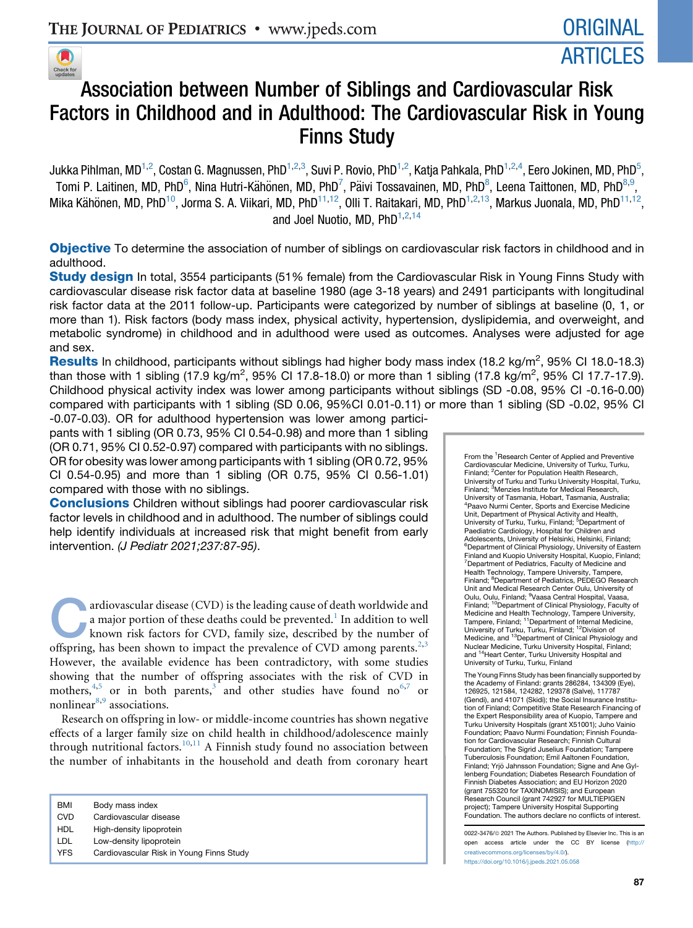

## Association between Number of Siblings and Cardiovascular Risk Factors in Childhood and in Adulthood: The Cardiovascular Risk in Young Finns Study

Jukka Pihlman, MD<sup>1,2</sup>, Costan G. Magnussen, PhD<sup>1,2,3</sup>, Suvi P. Rovio, PhD<sup>1,2</sup>, Katja Pahkala, PhD<sup>1,2,4</sup>, Eero Jokinen, MD, PhD<sup>5</sup>, Tomi P. Laitinen, MD, PhD $^6$ , Nina Hutri-Kähönen, MD, PhD $^7$ , Päivi Tossavainen, MD, PhD $^8$ , Leena Taittonen, MD, PhD $^{8,9}$ , Mika Kähönen, MD, PhD<sup>10</sup>, Jorma S. A. Viikari, MD, PhD<sup>11,12</sup>, Olli T. Raitakari, MD, PhD<sup>1,2,13</sup>, Markus Juonala, MD, PhD<sup>11,12</sup>, and Joel Nuotio, MD, PhD<sup>1,2,14</sup>

Objective To determine the association of number of siblings on cardiovascular risk factors in childhood and in adulthood.

**Study design** In total, 3554 participants (51% female) from the Cardiovascular Risk in Young Finns Study with cardiovascular disease risk factor data at baseline 1980 (age 3-18 years) and 2491 participants with longitudinal risk factor data at the 2011 follow-up. Participants were categorized by number of siblings at baseline (0, 1, or more than 1). Risk factors (body mass index, physical activity, hypertension, dyslipidemia, and overweight, and metabolic syndrome) in childhood and in adulthood were used as outcomes. Analyses were adjusted for age and sex.

Results In childhood, participants without siblings had higher body mass index (18.2 kg/m<sup>2</sup>, 95% CI 18.0-18.3) than those with 1 sibling (17.9 kg/m<sup>2</sup>, 95% CI 17.8-18.0) or more than 1 sibling (17.8 kg/m<sup>2</sup>, 95% CI 17.7-17.9). Childhood physical activity index was lower among participants without siblings (SD -0.08, 95% CI -0.16-0.00) compared with participants with 1 sibling (SD 0.06, 95%CI 0.01-0.11) or more than 1 sibling (SD -0.02, 95% CI

-0.07-0.03). OR for adulthood hypertension was lower among participants with 1 sibling (OR 0.73, 95% CI 0.54-0.98) and more than 1 sibling (OR 0.71, 95% CI 0.52-0.97) compared with participants with no siblings. OR for obesity was lower among participants with 1 sibling (OR 0.72, 95% CI 0.54-0.95) and more than 1 sibling (OR 0.75, 95% CI 0.56-1.01) compared with those with no siblings.

**Conclusions** Children without siblings had poorer cardiovascular risk factor levels in childhood and in adulthood. The number of siblings could help identify individuals at increased risk that might benefit from early intervention. *(J Pediatr 2021;237:87-95)*.

ardiovascular disease (CVD) is the leading cause of death worldwide and<br>a major portion of these deaths could be prevented.<sup>1</sup> In addition to well<br>known risk factors for CVD, family size, described by the number of<br>offeri a major portion of these deaths could be prevented. $^{\rm 1}$  $^{\rm 1}$  $^{\rm 1}$  In addition to well known risk factors for CVD, family size, described by the number of offspring, has been shown to impact the prevalence of CVD among parents.<sup>[2](#page-7-1)[,3](#page-7-2)</sup> However, the available evidence has been contradictory, with some studies showing that the number of offspring associates with the risk of CVD in mothers,  $4,5$  $4,5$  or in both parents, and other studies have found no  $6,7$  $6,7$  $6,7$  or nonlinear<sup>[8](#page-7-7),[9](#page-7-8)</sup> associations.

Research on offspring in low- or middle-income countries has shown negative effects of a larger family size on child health in childhood/adolescence mainly through nutritional factors.<sup>[10](#page-7-9)[,11](#page-7-10)</sup> A Finnish study found no association between the number of inhabitants in the household and death from coronary heart

| BMI    | Body mass index                |
|--------|--------------------------------|
| $\sim$ | Openediction and an address of |

- CVD Cardiovascular disease HDL High-density lipoprotein
- LDL Low-density lipoprotein
- YFS Cardiovascular Risk in Young Finns Study

From the <sup>1</sup> Research Center of Applied and Preventive Cardiovascular Medicine, University of Turku, Turku, Finland; <sup>2</sup> Center for Population Health Research, University of Turku and Turku University Hospital, Turku, Finland; <sup>3</sup>Menzies Institute for Medical Research, University of Tasmania, Hobart, Tasmania, Australia; 4 Paavo Nurmi Center, Sports and Exercise Medicine Unit, Department of Physical Activity and Health,<br>University of Turku, Turku, Finland; <sup>5</sup>Department of Paediatric Cardiology, Hospital for Children and Adolescents, University of Helsinki, Helsinki, Finland; 6 Department of Clinical Physiology, University of Eastern Finland and Kuopio University Hospital, Kuopio, Finland; <sup>7</sup> Department of Pediatrics, Faculty of Medicine and Health Technology, Tampere University, Tampere, Finland; <sup>8</sup> Department of Pediatrics, PEDEGO Research Unit and Medical Research Center Oulu, University of Oulu, Oulu, Finland; <sup>9</sup>Vaasa Central Hospital, Vaasa, Finland; <sup>10</sup>Department of Clinical Physiology, Faculty of Medicine and Health Technology, Tampere University, Tampere, Finland; <sup>11</sup>Department of Internal Medicine,<br>University of Turku, Turku, Finland; <sup>12</sup>Division of<br>Medicine, and <sup>13</sup>Department of Clinical Physiology and Nuclear Medicine, Turku University Hospital, Finland; and <sup>14</sup>Heart Center, Turku University Hospital and University of Turku, Turku, Finland

The Young Finns Study has been financially supported by the Academy of Finland: grants 286284, 134309 (Eye), 126925, 121584, 124282, 129378 (Salve), 117787 (Gendi), and 41071 (Skidi); the Social Insurance Institution of Finland; Competitive State Research Financing of the Expert Responsibility area of Kuopio, Tampere and Turku University Hospitals (grant X51001); Juho Vainio Foundation; Paavo Nurmi Foundation; Finnish Foundation for Cardiovascular Research; Finnish Cultural Foundation; The Sigrid Juselius Foundation; Tampere Tuberculosis Foundation; Emil Aaltonen Foundation, Finland; Yrjö Jahnsson Foundation; Signe and Ane Gyllenberg Foundation; Diabetes Research Foundation of Finnish Diabetes Association; and EU Horizon 2020 (grant 755320 for TAXINOMISIS); and European Research Council (grant 742927 for MULTIEPIGEN project); Tampere University Hospital Supporting Foundation. The authors declare no conflicts of interest.

0022-3476/@ 2021 The Authors. Published by Elsevier Inc. This is an open access article under the CC BY license [\(http://](http://creativecommons.org/licenses/by/4.0/) [creativecommons.org/licenses/by/4.0/\)](http://creativecommons.org/licenses/by/4.0/). <https://doi.org/10.1016/j.jpeds.2021.05.058>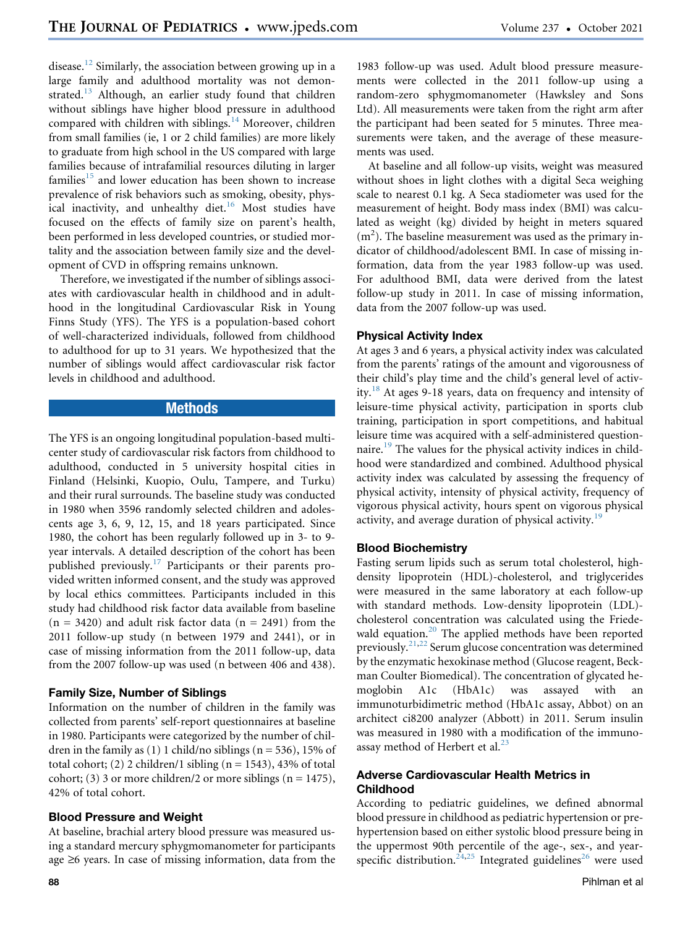disease.<sup>[12](#page-7-11)</sup> Similarly, the association between growing up in a large family and adulthood mortality was not demon-strated.<sup>[13](#page-7-12)</sup> Although, an earlier study found that children without siblings have higher blood pressure in adulthood compared with children with siblings.<sup>[14](#page-7-13)</sup> Moreover, children from small families (ie, 1 or 2 child families) are more likely to graduate from high school in the US compared with large families because of intrafamilial resources diluting in larger families $15$  and lower education has been shown to increase prevalence of risk behaviors such as smoking, obesity, physical inactivity, and unhealthy diet. $16$  Most studies have focused on the effects of family size on parent's health, been performed in less developed countries, or studied mortality and the association between family size and the development of CVD in offspring remains unknown.

Therefore, we investigated if the number of siblings associates with cardiovascular health in childhood and in adulthood in the longitudinal Cardiovascular Risk in Young Finns Study (YFS). The YFS is a population-based cohort of well-characterized individuals, followed from childhood to adulthood for up to 31 years. We hypothesized that the number of siblings would affect cardiovascular risk factor levels in childhood and adulthood.

## **Methods**

The YFS is an ongoing longitudinal population-based multicenter study of cardiovascular risk factors from childhood to adulthood, conducted in 5 university hospital cities in Finland (Helsinki, Kuopio, Oulu, Tampere, and Turku) and their rural surrounds. The baseline study was conducted in 1980 when 3596 randomly selected children and adolescents age 3, 6, 9, 12, 15, and 18 years participated. Since 1980, the cohort has been regularly followed up in 3- to 9 year intervals. A detailed description of the cohort has been published previously.[17](#page-7-16) Participants or their parents provided written informed consent, and the study was approved by local ethics committees. Participants included in this study had childhood risk factor data available from baseline  $(n = 3420)$  and adult risk factor data  $(n = 2491)$  from the 2011 follow-up study (n between 1979 and 2441), or in case of missing information from the 2011 follow-up, data from the 2007 follow-up was used (n between 406 and 438).

## Family Size, Number of Siblings

Information on the number of children in the family was collected from parents' self-report questionnaires at baseline in 1980. Participants were categorized by the number of children in the family as  $(1)$  1 child/no siblings  $(n = 536)$ , 15% of total cohort; (2) 2 children/1 sibling ( $n = 1543$ ), 43% of total cohort; (3) 3 or more children/2 or more siblings ( $n = 1475$ ), 42% of total cohort.

## Blood Pressure and Weight

At baseline, brachial artery blood pressure was measured using a standard mercury sphygmomanometer for participants age  $\geq 6$  years. In case of missing information, data from the

1983 follow-up was used. Adult blood pressure measurements were collected in the 2011 follow-up using a random-zero sphygmomanometer (Hawksley and Sons Ltd). All measurements were taken from the right arm after the participant had been seated for 5 minutes. Three measurements were taken, and the average of these measurements was used.

At baseline and all follow-up visits, weight was measured without shoes in light clothes with a digital Seca weighing scale to nearest 0.1 kg. A Seca stadiometer was used for the measurement of height. Body mass index (BMI) was calculated as weight (kg) divided by height in meters squared  $(m<sup>2</sup>)$ . The baseline measurement was used as the primary indicator of childhood/adolescent BMI. In case of missing information, data from the year 1983 follow-up was used. For adulthood BMI, data were derived from the latest follow-up study in 2011. In case of missing information, data from the 2007 follow-up was used.

## Physical Activity Index

At ages 3 and 6 years, a physical activity index was calculated from the parents' ratings of the amount and vigorousness of their child's play time and the child's general level of activ-ity.<sup>[18](#page-7-17)</sup> At ages 9-18 years, data on frequency and intensity of leisure-time physical activity, participation in sports club training, participation in sport competitions, and habitual leisure time was acquired with a self-administered question-naire.<sup>[19](#page-7-18)</sup> The values for the physical activity indices in childhood were standardized and combined. Adulthood physical activity index was calculated by assessing the frequency of physical activity, intensity of physical activity, frequency of vigorous physical activity, hours spent on vigorous physical activity, and average duration of physical activity.<sup>[19](#page-7-18)</sup>

## Blood Biochemistry

Fasting serum lipids such as serum total cholesterol, highdensity lipoprotein (HDL)-cholesterol, and triglycerides were measured in the same laboratory at each follow-up with standard methods. Low-density lipoprotein (LDL) cholesterol concentration was calculated using the Friede-wald equation.<sup>[20](#page-8-0)</sup> The applied methods have been reported previously.[21](#page-8-1),[22](#page-8-2) Serum glucose concentration was determined by the enzymatic hexokinase method (Glucose reagent, Beckman Coulter Biomedical). The concentration of glycated hemoglobin A1c (HbA1c) was assayed with an immunoturbidimetric method (HbA1c assay, Abbot) on an architect ci8200 analyzer (Abbott) in 2011. Serum insulin was measured in 1980 with a modification of the immuno-assay method of Herbert et al.<sup>[23](#page-8-3)</sup>

## Adverse Cardiovascular Health Metrics in Childhood

According to pediatric guidelines, we defined abnormal blood pressure in childhood as pediatric hypertension or prehypertension based on either systolic blood pressure being in the uppermost 90th percentile of the age-, sex-, and year-specific distribution.<sup>[24](#page-8-4),[25](#page-8-5)</sup> Integrated guidelines<sup>[26](#page-8-6)</sup> were used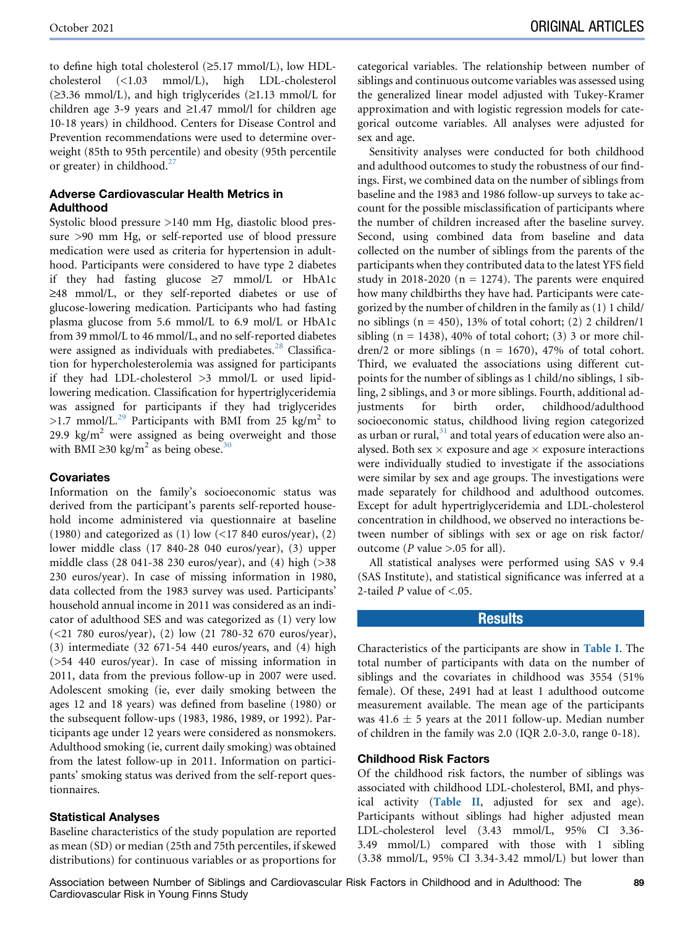to define high total cholesterol  $(\geq 5.17 \text{ mmol/L})$ , low HDLcholesterol (<1.03 mmol/L), high LDL-cholesterol  $(\geq 3.36 \text{ mmol/L})$ , and high triglycerides  $(\geq 1.13 \text{ mmol/L}$  for children age 3-9 years and  $\geq$ 1.47 mmol/l for children age 10-18 years) in childhood. Centers for Disease Control and Prevention recommendations were used to determine overweight (85th to 95th percentile) and obesity (95th percentile or greater) in childhood.<sup>[27](#page-8-7)</sup>

## Adverse Cardiovascular Health Metrics in Adulthood

Systolic blood pressure >140 mm Hg, diastolic blood pressure >90 mm Hg, or self-reported use of blood pressure medication were used as criteria for hypertension in adulthood. Participants were considered to have type 2 diabetes if they had fasting glucose  $\geq$ 7 mmol/L or HbA1c  $\geq$ 48 mmol/L, or they self-reported diabetes or use of glucose-lowering medication. Participants who had fasting plasma glucose from 5.6 mmol/L to 6.9 mol/L or HbA1c from 39 mmol/L to 46 mmol/L, and no self-reported diabetes were assigned as individuals with prediabetes.<sup>[28](#page-8-8)</sup> Classification for hypercholesterolemia was assigned for participants if they had LDL-cholesterol >3 mmol/L or used lipidlowering medication. Classification for hypertriglyceridemia was assigned for participants if they had triglycerides >1.7 mmol/L.<sup>[29](#page-8-9)</sup> Participants with BMI from 25 kg/m<sup>2</sup> to 29.9 kg/ $m^2$  were assigned as being overweight and those with BMI  $\geq$ [30](#page-8-10) kg/m<sup>2</sup> as being obese.<sup>30</sup>

## **Covariates**

Information on the family's socioeconomic status was derived from the participant's parents self-reported household income administered via questionnaire at baseline (1980) and categorized as (1) low  $\left($  <17 840 euros/year), (2) lower middle class (17 840-28 040 euros/year), (3) upper middle class (28 041-38 230 euros/year), and (4) high (>38 230 euros/year). In case of missing information in 1980, data collected from the 1983 survey was used. Participants' household annual income in 2011 was considered as an indicator of adulthood SES and was categorized as (1) very low (<21 780 euros/year), (2) low (21 780-32 670 euros/year), (3) intermediate (32 671-54 440 euros/years, and (4) high (>54 440 euros/year). In case of missing information in 2011, data from the previous follow-up in 2007 were used. Adolescent smoking (ie, ever daily smoking between the ages 12 and 18 years) was defined from baseline (1980) or the subsequent follow-ups (1983, 1986, 1989, or 1992). Participants age under 12 years were considered as nonsmokers. Adulthood smoking (ie, current daily smoking) was obtained from the latest follow-up in 2011. Information on participants' smoking status was derived from the self-report questionnaires.

#### Statistical Analyses

Baseline characteristics of the study population are reported as mean (SD) or median (25th and 75th percentiles, if skewed distributions) for continuous variables or as proportions for categorical variables. The relationship between number of siblings and continuous outcome variables was assessed using the generalized linear model adjusted with Tukey-Kramer approximation and with logistic regression models for categorical outcome variables. All analyses were adjusted for sex and age.

Sensitivity analyses were conducted for both childhood and adulthood outcomes to study the robustness of our findings. First, we combined data on the number of siblings from baseline and the 1983 and 1986 follow-up surveys to take account for the possible misclassification of participants where the number of children increased after the baseline survey. Second, using combined data from baseline and data collected on the number of siblings from the parents of the participants when they contributed data to the latest YFS field study in 2018-2020 ( $n = 1274$ ). The parents were enquired how many childbirths they have had. Participants were categorized by the number of children in the family as (1) 1 child/ no siblings  $(n = 450)$ , 13% of total cohort; (2) 2 children/1 sibling  $(n = 1438)$ , 40% of total cohort; (3) 3 or more children/2 or more siblings ( $n = 1670$ ), 47% of total cohort. Third, we evaluated the associations using different cutpoints for the number of siblings as 1 child/no siblings, 1 sibling, 2 siblings, and 3 or more siblings. Fourth, additional adjustments for birth order, childhood/adulthood socioeconomic status, childhood living region categorized as urban or rural, $31$  and total years of education were also analysed. Both sex  $\times$  exposure and age  $\times$  exposure interactions were individually studied to investigate if the associations were similar by sex and age groups. The investigations were made separately for childhood and adulthood outcomes. Except for adult hypertriglyceridemia and LDL-cholesterol concentration in childhood, we observed no interactions between number of siblings with sex or age on risk factor/ outcome (*P* value  $> 0.05$  for all).

All statistical analyses were performed using SAS v 9.4 (SAS Institute), and statistical significance was inferred at a 2-tailed  $P$  value of  $\leq$ .05.

## **Results**

Characteristics of the participants are show in [Table I](#page-3-0). The total number of participants with data on the number of siblings and the covariates in childhood was 3554 (51% female). Of these, 2491 had at least 1 adulthood outcome measurement available. The mean age of the participants was 41.6  $\pm$  5 years at the 2011 follow-up. Median number of children in the family was 2.0 (IQR 2.0-3.0, range 0-18).

#### Childhood Risk Factors

Of the childhood risk factors, the number of siblings was associated with childhood LDL-cholesterol, BMI, and physical activity ([Table II](#page-4-0), adjusted for sex and age). Participants without siblings had higher adjusted mean LDL-cholesterol level (3.43 mmol/L, 95% CI 3.36- 3.49 mmol/L) compared with those with 1 sibling (3.38 mmol/L, 95% CI 3.34-3.42 mmol/L) but lower than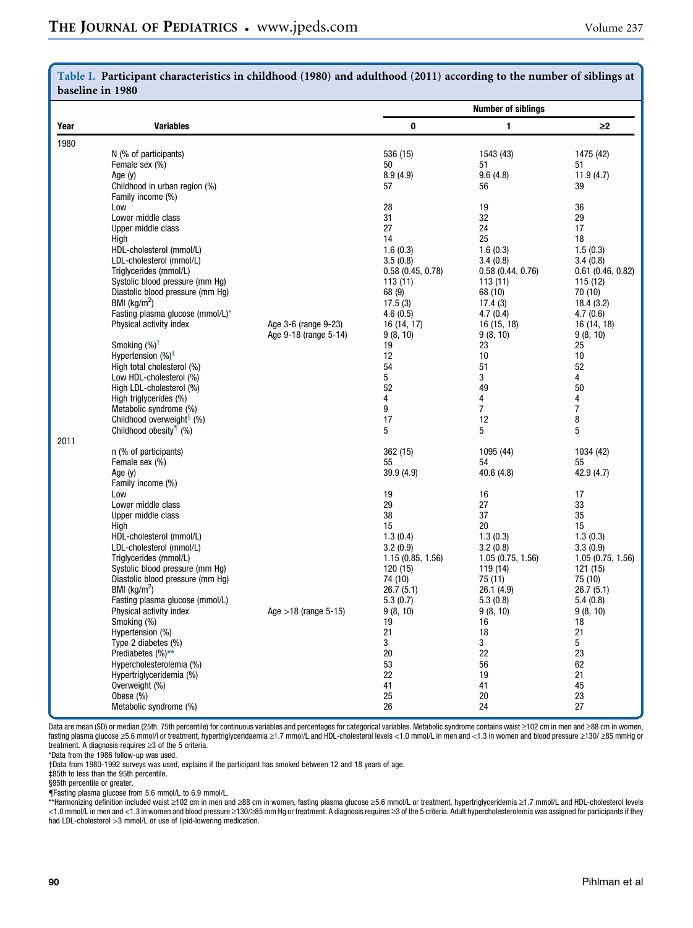|      | baseline in 1980                                     |                                               |                              |                              |                              |
|------|------------------------------------------------------|-----------------------------------------------|------------------------------|------------------------------|------------------------------|
|      |                                                      |                                               |                              | <b>Number of siblings</b>    |                              |
| Year | <b>Variables</b>                                     |                                               | 0                            | 1                            | $\geq$ 2                     |
| 1980 |                                                      |                                               |                              |                              |                              |
|      | N (% of participants)                                |                                               | 536 (15)                     | 1543 (43)                    | 1475 (42)                    |
|      | Female sex (%)<br>Age (y)                            |                                               | 50<br>8.9(4.9)               | 51<br>9.6(4.8)               | 51<br>11.9(4.7)              |
|      | Childhood in urban region (%)                        |                                               | 57                           | 56                           | 39                           |
|      | Family income (%)                                    |                                               |                              |                              |                              |
|      | Low                                                  |                                               | 28                           | 19                           | 36                           |
|      | Lower middle class                                   |                                               | 31                           | 32                           | 29                           |
|      | Upper middle class                                   |                                               | 27                           | 24                           | 17                           |
|      | High                                                 |                                               | 14                           | 25                           | 18                           |
|      | HDL-cholesterol (mmol/L)<br>LDL-cholesterol (mmol/L) |                                               | 1.6(0.3)<br>3.5(0.8)         | 1.6(0.3)<br>3.4(0.8)         | 1.5(0.3)<br>3.4(0.8)         |
|      | Triglycerides (mmol/L)                               |                                               | 0.58(0.45, 0.78)             | 0.58(0.44, 0.76)             | $0.61$ (0.46, 0.82)          |
|      | Systolic blood pressure (mm Hg)                      |                                               | 113(11)                      | 113(11)                      | 115 (12)                     |
|      | Diastolic blood pressure (mm Hg)                     |                                               | 68 (9)                       | 68 (10)                      | 70 (10)                      |
|      | BMI ( $kg/m2$ )                                      |                                               | 17.5(3)                      | 17.4(3)                      | 18.4(3.2)                    |
|      | Fasting plasma glucose (mmol/L)*                     |                                               | 4.6(0.5)                     | 4.7(0.4)                     | 4.7(0.6)                     |
|      | Physical activity index                              | Age 3-6 (range 9-23)<br>Age 9-18 (range 5-14) | 16 (14, 17)                  | 16 (15, 18)                  | 16 (14, 18)                  |
|      | Smoking $(\%)^{\dagger}$                             |                                               | 9(8, 10)<br>19               | 9(8, 10)<br>23               | 9(8, 10)<br>25               |
|      | Hypertension $(%)^{\ddagger}$                        |                                               | 12                           | 10                           | 10                           |
|      | High total cholesterol (%)                           |                                               | 54                           | 51                           | 52                           |
|      | Low HDL-cholesterol (%)                              |                                               | 5                            | 3                            | 4                            |
|      | High LDL-cholesterol (%)                             |                                               | 52                           | 49                           | 50                           |
|      | High triglycerides (%)<br>Metabolic syndrome (%)     |                                               | 4<br>9                       | 4<br>$\overline{7}$          | 4<br>7                       |
|      | Childhood overweight <sup>§</sup> (%)                |                                               | 17                           | 12                           | 8                            |
|      | Childhood obesity <sup>1</sup> (%)                   |                                               | 5                            | 5                            | 5                            |
| 2011 |                                                      |                                               |                              |                              |                              |
|      | n (% of participants)                                |                                               | 362 (15)                     | 1095 (44)                    | 1034 (42)                    |
|      | Female sex (%)                                       |                                               | 55                           | 54                           | 55                           |
|      | Age $(y)$<br>Family income (%)                       |                                               | 39.9 (4.9)                   | 40.6(4.8)                    | 42.9 (4.7)                   |
|      | Low                                                  |                                               | 19                           | 16                           | 17                           |
|      | Lower middle class                                   |                                               | 29                           | 27                           | 33                           |
|      | Upper middle class                                   |                                               | 38                           | 37                           | 35                           |
|      | High                                                 |                                               | 15                           | 20                           | 15                           |
|      | HDL-cholesterol (mmol/L)                             |                                               | 1.3(0.4)                     | 1.3(0.3)                     | 1.3(0.3)                     |
|      | LDL-cholesterol (mmol/L)<br>Triglycerides (mmol/L)   |                                               | 3.2(0.9)<br>1.15(0.85, 1.56) | 3.2(0.8)<br>1.05(0.75, 1.56) | 3.3(0.9)<br>1.05(0.75, 1.56) |
|      | Systolic blood pressure (mm Hg)                      |                                               | 120(15)                      | 119 (14)                     | 121 (15)                     |
|      | Diastolic blood pressure (mm Hg)                     |                                               | 74 (10)                      | 75 (11)                      | 75 (10)                      |
|      | BMI ( $\text{kg/m}^2$ )                              |                                               | 26.7 (5.1)                   | 26.1 (4.9)                   | 26.7(5.1)                    |
|      | Fasting plasma glucose (mmol/L)                      |                                               | 5.3(0.7)                     | 5.3(0.8)                     | 5.4(0.8)                     |
|      | Physical activity index                              | Age $>18$ (range 5-15)                        | 9(8, 10)                     | 9(8, 10)                     | 9(8, 10)                     |
|      | Smoking (%)<br>Hypertension (%)                      |                                               | 19<br>21                     | 16<br>18                     | 18<br>21                     |
|      | Type 2 diabetes (%)                                  |                                               | 3                            | 3                            | 5                            |
|      | Prediabetes (%)**                                    |                                               | 20                           | 22                           | 23                           |
|      | Hypercholesterolemia (%)                             |                                               | 53                           | 56                           | 62                           |
|      | Hypertriglyceridemia (%)                             |                                               | 22                           | 19                           | 21                           |
|      | Overweight (%)                                       |                                               | 41                           | 41                           | 45                           |
|      | Obese (%)                                            |                                               | 25                           | 20                           | 23                           |
|      | Metabolic syndrome (%)                               |                                               | 26                           | 24                           | 27                           |

# <span id="page-3-0"></span>Table I. Participant characteristics in childhood (1980) and adulthood (2011) according to the number of siblings at

Data are mean (SD) or median (25th, 75th percentile) for continuous variables and percentages for categorical variables. Metabolic syndrome contains waist ≥102 cm in men and ≥88 cm in women, fasting plasma glucose ≥5.6 mmol/l or treatment, hypertriglyceridaemia ≥1.7 mmol/L and HDL-cholesterol levels <1.0 mmol/L in men and <1.3 in women and blood pressure ≥130/ ≥85 mmHg or treatment. A diagnosis requires  $\geq$ 3 of the 5 criteria.

\*Data from the 1986 follow-up was used.

†Data from 1980-1992 surveys was used, explains if the participant has smoked between 12 and 18 years of age.

‡85th to less than the 95th percentile.

§95th percentile or greater.

{Fasting plasma glucose from 5.6 mmol/L to 6.9 mmol/L.

\*\*Harmonizing definition included waist ≥102 cm in men and ≥88 cm in women, fasting plasma glucose ≥5.6 mmol/L or treatment, hypertriglyceridemia ≥1.7 mmol/L and HDL-cholesterol levels<br><1.0 mmol/L in men and <1.3 in women had LDL-cholesterol >3 mmol/L or use of lipid-lowering medication.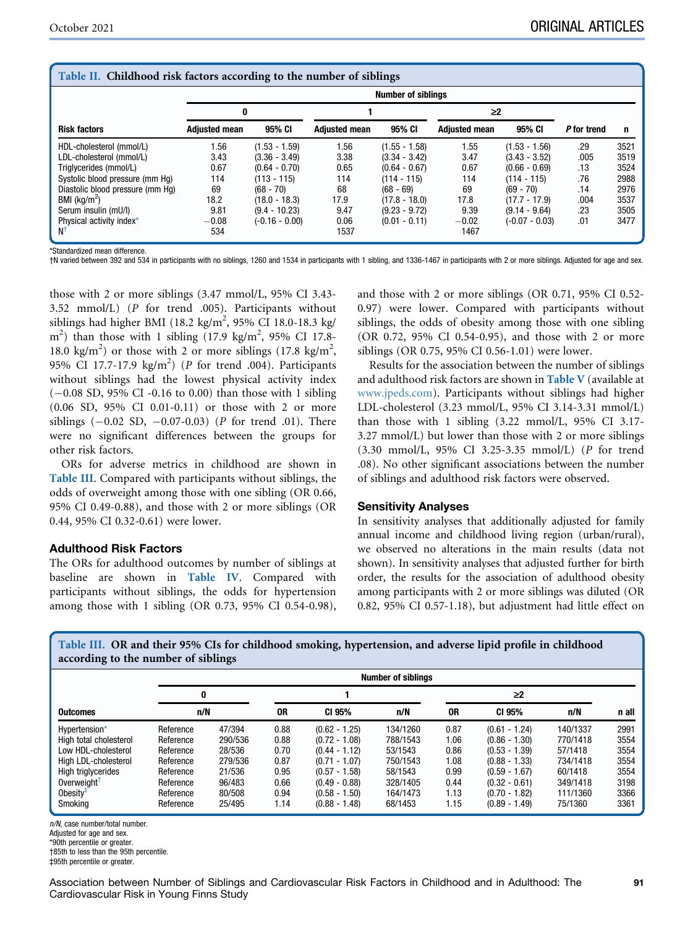<span id="page-4-0"></span>

| Table II. Childhood risk factors according to the number of siblings |                      |                           |                      |                 |                      |                  |             |      |  |  |  |
|----------------------------------------------------------------------|----------------------|---------------------------|----------------------|-----------------|----------------------|------------------|-------------|------|--|--|--|
|                                                                      |                      | <b>Number of siblings</b> |                      |                 |                      |                  |             |      |  |  |  |
|                                                                      | 0                    |                           |                      |                 | ≥2                   |                  |             |      |  |  |  |
| <b>Risk factors</b>                                                  | <b>Adjusted mean</b> | 95% CI                    | <b>Adjusted mean</b> | 95% CI          | <b>Adjusted mean</b> | 95% CI           | P for trend | n    |  |  |  |
| HDL-cholesterol (mmol/L)                                             | 1.56                 | $(1.53 - 1.59)$           | 1.56                 | $(1.55 - 1.58)$ | 1.55                 | $(1.53 - 1.56)$  | .29         | 3521 |  |  |  |
| LDL-cholesterol (mmol/L)                                             | 3.43                 | $(3.36 - 3.49)$           | 3.38                 | $(3.34 - 3.42)$ | 3.47                 | $(3.43 - 3.52)$  | .005        | 3519 |  |  |  |
| Triglycerides (mmol/L)                                               | 0.67                 | $(0.64 - 0.70)$           | 0.65                 | $(0.64 - 0.67)$ | 0.67                 | $(0.66 - 0.69)$  | .13         | 3524 |  |  |  |
| Systolic blood pressure (mm Ha)                                      | 114                  | $(113 - 115)$             | 114                  | $(114 - 115)$   | 114                  | $(114 - 115)$    | .76         | 2988 |  |  |  |
| Diastolic blood pressure (mm Hq)                                     | 69                   | $(68 - 70)$               | 68                   | $(68 - 69)$     | 69                   | $(69 - 70)$      | .14         | 2976 |  |  |  |
| BMI ( $\text{kg/m}^2$ )                                              | 18.2                 | $(18.0 - 18.3)$           | 17.9                 | $(17.8 - 18.0)$ | 17.8                 | $(17.7 - 17.9)$  | .004        | 3537 |  |  |  |
| Serum insulin (mU/l)                                                 | 9.81                 | $(9.4 - 10.23)$           | 9.47                 | $(9.23 - 9.72)$ | 9.39                 | $(9.14 - 9.64)$  | .23         | 3505 |  |  |  |
| Physical activity index*                                             | $-0.08$              | $(-0.16 - 0.00)$          | 0.06                 | $(0.01 - 0.11)$ | $-0.02$              | $(-0.07 - 0.03)$ | .01         | 3477 |  |  |  |
|                                                                      | 534                  |                           | 1537                 |                 | 1467                 |                  |             |      |  |  |  |

\*Standardized mean difference.

†N varied between 392 and 534 in participants with no siblings, 1260 and 1534 in participants with 1 sibling, and 1336-1467 in participants with 2 or more siblings. Adjusted for age and sex.

those with 2 or more siblings (3.47 mmol/L, 95% CI 3.43- 3.52 mmol/L) (P for trend .005). Participants without siblings had higher BMI (18.2 kg/m<sup>2</sup>, 95% CI 18.0-18.3 kg/  $\text{m}^2$ ) than those with 1 sibling (17.9 kg/m<sup>2</sup>, 95% CI 17.8-18.0 kg/m<sup>2</sup>) or those with 2 or more siblings (17.8 kg/m<sup>2</sup>, 95% CI 17.7-17.9  $\text{kg/m}^2$ ) (P for trend .004). Participants without siblings had the lowest physical activity index  $(-0.08 SD, 95\% CI -0.16 to 0.00)$  than those with 1 sibling (0.06 SD, 95% CI 0.01-0.11) or those with 2 or more siblings  $(-0.02 \text{ SD}, -0.07-0.03)$  (*P* for trend .01). There were no significant differences between the groups for other risk factors.

ORs for adverse metrics in childhood are shown in [Table III](#page-4-1). Compared with participants without siblings, the odds of overweight among those with one sibling (OR 0.66, 95% CI 0.49-0.88), and those with 2 or more siblings (OR 0.44, 95% CI 0.32-0.61) were lower.

#### Adulthood Risk Factors

The ORs for adulthood outcomes by number of siblings at baseline are shown in [Table IV](#page-5-0). Compared with participants without siblings, the odds for hypertension among those with 1 sibling (OR 0.73, 95% CI 0.54-0.98), and those with 2 or more siblings (OR 0.71, 95% CI 0.52- 0.97) were lower. Compared with participants without siblings, the odds of obesity among those with one sibling (OR 0.72, 95% CI 0.54-0.95), and those with 2 or more siblings (OR 0.75, 95% CI 0.56-1.01) were lower.

Results for the association between the number of siblings and adulthood risk factors are shown in [Table V](#page-9-0) (available at [www.jpeds.com](http://www.jpeds.com)). Participants without siblings had higher LDL-cholesterol (3.23 mmol/L, 95% CI 3.14-3.31 mmol/L) than those with 1 sibling (3.22 mmol/L, 95% CI 3.17- 3.27 mmol/L) but lower than those with 2 or more siblings (3.30 mmol/L, 95% CI 3.25-3.35 mmol/L) (P for trend .08). No other significant associations between the number of siblings and adulthood risk factors were observed.

#### Sensitivity Analyses

In sensitivity analyses that additionally adjusted for family annual income and childhood living region (urban/rural), we observed no alterations in the main results (data not shown). In sensitivity analyses that adjusted further for birth order, the results for the association of adulthood obesity among participants with 2 or more siblings was diluted (OR 0.82, 95% CI 0.57-1.18), but adjustment had little effect on

<span id="page-4-1"></span>Table III. OR and their 95% CIs for childhood smoking, hypertension, and adverse lipid profile in childhood according to the number of siblings

|                           | <b>Number of siblings</b> |         |      |                 |          |        |                 |          |       |
|---------------------------|---------------------------|---------|------|-----------------|----------|--------|-----------------|----------|-------|
| 0                         |                           |         |      |                 |          | $\geq$ |                 |          |       |
| <b>Outcomes</b>           | n/N                       |         | 0R   | CI 95%          | n/N      | 0R     | CI 95%          | n/N      | n all |
| Hypertension*             | Reference                 | 47/394  | 0.88 | $(0.62 - 1.25)$ | 134/1260 | 0.87   | $(0.61 - 1.24)$ | 140/1337 | 2991  |
| High total cholesterol    | Reference                 | 290/536 | 0.88 | $(0.72 - 1.08)$ | 788/1543 | 1.06   | $(0.86 - 1.30)$ | 770/1418 | 3554  |
| Low HDL-cholesterol       | Reference                 | 28/536  | 0.70 | $(0.44 - 1.12)$ | 53/1543  | 0.86   | $(0.53 - 1.39)$ | 57/1418  | 3554  |
| High LDL-cholesterol      | Reference                 | 279/536 | 0.87 | $(0.71 - 1.07)$ | 750/1543 | 1.08   | $(0.88 - 1.33)$ | 734/1418 | 3554  |
| <b>High triglycerides</b> | Reference                 | 21/536  | 0.95 | $(0.57 - 1.58)$ | 58/1543  | 0.99   | $(0.59 - 1.67)$ | 60/1418  | 3554  |
| Overweight <sup>†</sup>   | Reference                 | 96/483  | 0.66 | $(0.49 - 0.88)$ | 328/1405 | 0.44   | $(0.32 - 0.61)$ | 349/1418 | 3198  |
| Obesity $\overline{f}$    | Reference                 | 80/508  | 0.94 | $(0.58 - 1.50)$ | 164/1473 | 1.13   | $(0.70 - 1.82)$ | 111/1360 | 3366  |
| Smoking                   | Reference                 | 25/495  | 1.14 | $(0.88 - 1.48)$ | 68/1453  | 1.15   | $(0.89 - 1.49)$ | 75/1360  | 3361  |

n/N, case number/total number.

Adjusted for age and sex.

\*90th percentile or greater.

†85th to less than the 95th percentile.

‡95th percentile or greater.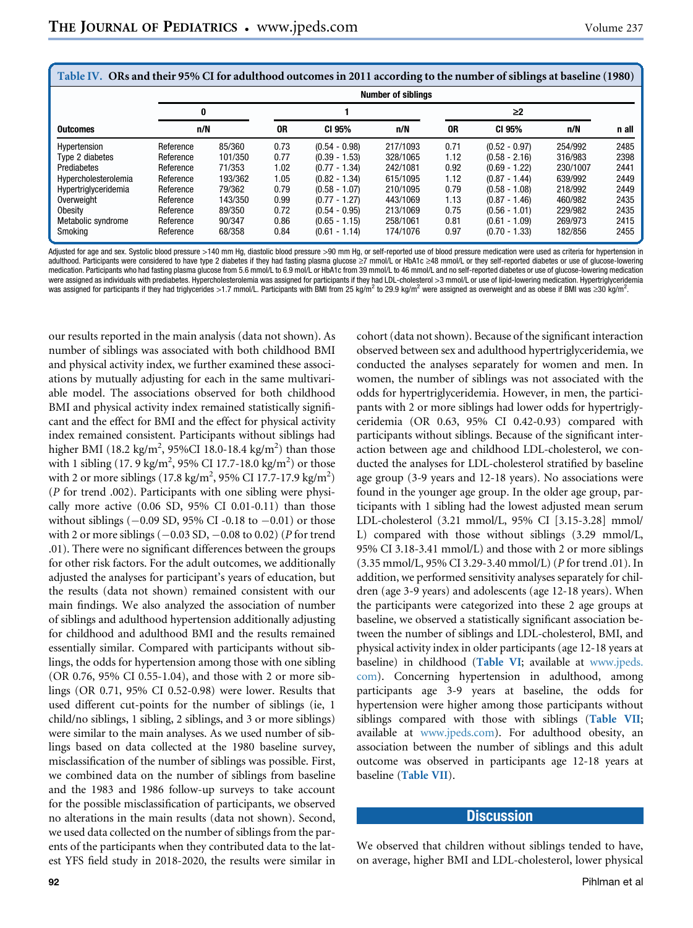<span id="page-5-0"></span>

| Table IV. ORs and their 95% CI for adulthood outcomes in 2011 according to the number of siblings at baseline (1980) |           |                           |      |                 |          |      |                 |          |       |  |  |
|----------------------------------------------------------------------------------------------------------------------|-----------|---------------------------|------|-----------------|----------|------|-----------------|----------|-------|--|--|
|                                                                                                                      |           | <b>Number of siblings</b> |      |                 |          |      |                 |          |       |  |  |
|                                                                                                                      | 0         |                           |      |                 |          |      |                 |          |       |  |  |
| <b>Outcomes</b>                                                                                                      | n/N       |                           | 0R   | CI 95%          | n/N      | 0R   | CI 95%          | n/N      | n all |  |  |
| Hypertension                                                                                                         | Reference | 85/360                    | 0.73 | $(0.54 - 0.98)$ | 217/1093 | 0.71 | $(0.52 - 0.97)$ | 254/992  | 2485  |  |  |
| Type 2 diabetes                                                                                                      | Reference | 101/350                   | 0.77 | $(0.39 - 1.53)$ | 328/1065 | 1.12 | $(0.58 - 2.16)$ | 316/983  | 2398  |  |  |
| Prediabetes                                                                                                          | Reference | 71/353                    | 1.02 | $(0.77 - 1.34)$ | 242/1081 | 0.92 | $(0.69 - 1.22)$ | 230/1007 | 2441  |  |  |
| Hypercholesterolemia                                                                                                 | Reference | 193/362                   | 1.05 | $(0.82 - 1.34)$ | 615/1095 | 1.12 | $(0.87 - 1.44)$ | 639/992  | 2449  |  |  |
| Hypertriglyceridemia                                                                                                 | Reference | 79/362                    | 0.79 | $(0.58 - 1.07)$ | 210/1095 | 0.79 | $(0.58 - 1.08)$ | 218/992  | 2449  |  |  |
| Overweight                                                                                                           | Reference | 143/350                   | 0.99 | $(0.77 - 1.27)$ | 443/1069 | 1.13 | $(0.87 - 1.46)$ | 460/982  | 2435  |  |  |
| Obesity                                                                                                              | Reference | 89/350                    | 0.72 | $(0.54 - 0.95)$ | 213/1069 | 0.75 | $(0.56 - 1.01)$ | 229/982  | 2435  |  |  |
| Metabolic syndrome                                                                                                   | Reference | 90/347                    | 0.86 | $(0.65 - 1.15)$ | 258/1061 | 0.81 | $(0.61 - 1.09)$ | 269/973  | 2415  |  |  |
| Smoking                                                                                                              | Reference | 68/358                    | 0.84 | $(0.61 - 1.14)$ | 174/1076 | 0.97 | $(0.70 - 1.33)$ | 182/856  | 2455  |  |  |

Adjusted for age and sex. Systolic blood pressure >140 mm Hg, diastolic blood pressure >90 mm Hg, or self-reported use of blood pressure medication were used as criteria for hypertension in adulthood. Participants were considered to have type 2 diabetes if they had fasting plasma glucose ≥7 mmol/L or HbA1c ≥48 mmol/L or they self-reported diabetes or use of glucose-lowering medication. Participants who had fasting plasma glucose from 5.6 mmol/L to 6.9 mol/L or HbA1c from 39 mmol/L to 46 mmol/L and no self-reported diabetes or use of glucose-lowering medication were assigned as individuals with prediabetes. Hypercholesterolemia was assigned for participants if they had LDL-cholesterol >3 mmol/L or use of lipid-lowering medication. Hypertriglyceridemia was assigned for participants if they had triglycerides >1.7 mmol/L. Participants with BMI from 25 kg/m<sup>2</sup> to 29.9 kg/m<sup>2</sup> were assigned as overweight and as obese if BMI was ≥30 kg/m<sup>2</sup>.

our results reported in the main analysis (data not shown). As number of siblings was associated with both childhood BMI and physical activity index, we further examined these associations by mutually adjusting for each in the same multivariable model. The associations observed for both childhood BMI and physical activity index remained statistically significant and the effect for BMI and the effect for physical activity index remained consistent. Participants without siblings had higher BMI (18.2 kg/m<sup>2</sup>, 95%CI 18.0-18.4 kg/m<sup>2</sup>) than those with 1 sibling (17. 9 kg/m<sup>2</sup>, 95% CI 17.7-18.0 kg/m<sup>2</sup>) or those with 2 or more siblings (17.8 kg/m<sup>2</sup>, 95% CI 17.7-17.9 kg/m<sup>2</sup>) (P for trend .002). Participants with one sibling were physically more active  $(0.06 SD, 95\% CI 0.01-0.11)$  than those without siblings ( $-0.09$  SD, 95% CI-0.18 to  $-0.01$ ) or those with 2 or more siblings  $(-0.03 \text{ SD}, -0.08 \text{ to } 0.02)$  (P for trend .01). There were no significant differences between the groups for other risk factors. For the adult outcomes, we additionally adjusted the analyses for participant's years of education, but the results (data not shown) remained consistent with our main findings. We also analyzed the association of number of siblings and adulthood hypertension additionally adjusting for childhood and adulthood BMI and the results remained essentially similar. Compared with participants without siblings, the odds for hypertension among those with one sibling (OR 0.76, 95% CI 0.55-1.04), and those with 2 or more siblings (OR 0.71, 95% CI 0.52-0.98) were lower. Results that used different cut-points for the number of siblings (ie, 1 child/no siblings, 1 sibling, 2 siblings, and 3 or more siblings) were similar to the main analyses. As we used number of siblings based on data collected at the 1980 baseline survey, misclassification of the number of siblings was possible. First, we combined data on the number of siblings from baseline and the 1983 and 1986 follow-up surveys to take account for the possible misclassification of participants, we observed no alterations in the main results (data not shown). Second, we used data collected on the number of siblings from the parents of the participants when they contributed data to the latest YFS field study in 2018-2020, the results were similar in

cohort (data not shown). Because of the significant interaction observed between sex and adulthood hypertriglyceridemia, we conducted the analyses separately for women and men. In women, the number of siblings was not associated with the odds for hypertriglyceridemia. However, in men, the participants with 2 or more siblings had lower odds for hypertriglyceridemia (OR 0.63, 95% CI 0.42-0.93) compared with participants without siblings. Because of the significant interaction between age and childhood LDL-cholesterol, we conducted the analyses for LDL-cholesterol stratified by baseline age group (3-9 years and 12-18 years). No associations were found in the younger age group. In the older age group, participants with 1 sibling had the lowest adjusted mean serum LDL-cholesterol (3.21 mmol/L, 95% CI [3.15-3.28] mmol/ L) compared with those without siblings (3.29 mmol/L, 95% CI 3.18-3.41 mmol/L) and those with 2 or more siblings (3.35 mmol/L, 95% CI 3.29-3.40 mmol/L) (P for trend .01). In addition, we performed sensitivity analyses separately for children (age 3-9 years) and adolescents (age 12-18 years). When the participants were categorized into these 2 age groups at baseline, we observed a statistically significant association between the number of siblings and LDL-cholesterol, BMI, and physical activity index in older participants (age 12-18 years at baseline) in childhood ([Table VI](#page-9-1); available at [www.jpeds.](http://www.jpeds.com) [com](http://www.jpeds.com)). Concerning hypertension in adulthood, among participants age 3-9 years at baseline, the odds for hypertension were higher among those participants without siblings compared with those with siblings ([Table VII](#page-9-2); available at [www.jpeds.com](http://www.jpeds.com)). For adulthood obesity, an association between the number of siblings and this adult outcome was observed in participants age 12-18 years at baseline ([Table VII](#page-9-2)).

## **Discussion**

We observed that children without siblings tended to have, on average, higher BMI and LDL-cholesterol, lower physical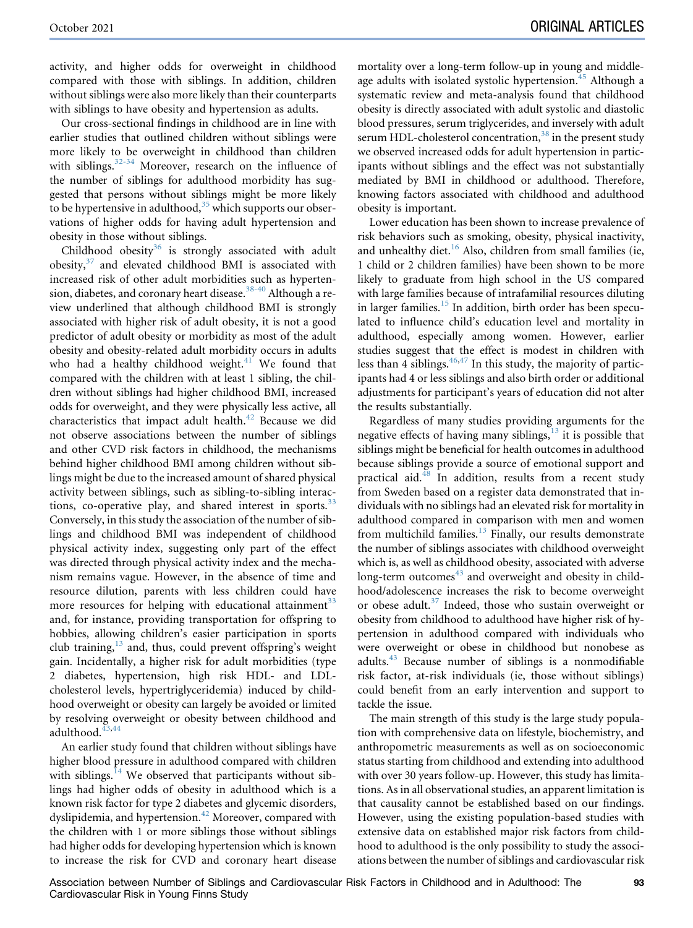activity, and higher odds for overweight in childhood compared with those with siblings. In addition, children without siblings were also more likely than their counterparts with siblings to have obesity and hypertension as adults.

Our cross-sectional findings in childhood are in line with earlier studies that outlined children without siblings were more likely to be overweight in childhood than children with siblings. $32-34$  Moreover, research on the influence of the number of siblings for adulthood morbidity has suggested that persons without siblings might be more likely to be hypertensive in adulthood,  $35$  which supports our observations of higher odds for having adult hypertension and obesity in those without siblings.

Childhood obesity $36$  is strongly associated with adult obesity,[37](#page-8-15) and elevated childhood BMI is associated with increased risk of other adult morbidities such as hypertension, diabetes, and coronary heart disease.<sup>38-40</sup> Although a review underlined that although childhood BMI is strongly associated with higher risk of adult obesity, it is not a good predictor of adult obesity or morbidity as most of the adult obesity and obesity-related adult morbidity occurs in adults who had a healthy childhood weight.<sup>[41](#page-8-17)</sup> We found that compared with the children with at least 1 sibling, the children without siblings had higher childhood BMI, increased odds for overweight, and they were physically less active, all characteristics that impact adult health.<sup>[42](#page-8-18)</sup> Because we did not observe associations between the number of siblings and other CVD risk factors in childhood, the mechanisms behind higher childhood BMI among children without siblings might be due to the increased amount of shared physical activity between siblings, such as sibling-to-sibling interactions, co-operative play, and shared interest in sports. $33$ Conversely, in this study the association of the number of siblings and childhood BMI was independent of childhood physical activity index, suggesting only part of the effect was directed through physical activity index and the mechanism remains vague. However, in the absence of time and resource dilution, parents with less children could have more resources for helping with educational attainment $33$ and, for instance, providing transportation for offspring to hobbies, allowing children's easier participation in sports club training, $13$  and, thus, could prevent offspring's weight gain. Incidentally, a higher risk for adult morbidities (type 2 diabetes, hypertension, high risk HDL- and LDLcholesterol levels, hypertriglyceridemia) induced by childhood overweight or obesity can largely be avoided or limited by resolving overweight or obesity between childhood and adulthood.<sup>[43](#page-8-20),[44](#page-8-21)</sup>

An earlier study found that children without siblings have higher blood pressure in adulthood compared with children with siblings. $14$  We observed that participants without siblings had higher odds of obesity in adulthood which is a known risk factor for type 2 diabetes and glycemic disorders, dyslipidemia, and hypertension.<sup>[42](#page-8-18)</sup> Moreover, compared with the children with 1 or more siblings those without siblings had higher odds for developing hypertension which is known to increase the risk for CVD and coronary heart disease

mortality over a long-term follow-up in young and middle-age adults with isolated systolic hypertension.<sup>[45](#page-8-22)</sup> Although a systematic review and meta-analysis found that childhood obesity is directly associated with adult systolic and diastolic blood pressures, serum triglycerides, and inversely with adult serum HDL-cholesterol concentration, $38$  in the present study we observed increased odds for adult hypertension in participants without siblings and the effect was not substantially mediated by BMI in childhood or adulthood. Therefore, knowing factors associated with childhood and adulthood obesity is important.

Lower education has been shown to increase prevalence of risk behaviors such as smoking, obesity, physical inactivity, and unhealthy diet.<sup>[16](#page-7-15)</sup> Also, children from small families (ie, 1 child or 2 children families) have been shown to be more likely to graduate from high school in the US compared with large families because of intrafamilial resources diluting in larger families.<sup>[15](#page-7-14)</sup> In addition, birth order has been speculated to influence child's education level and mortality in adulthood, especially among women. However, earlier studies suggest that the effect is modest in children with less than 4 siblings. $46,47$  $46,47$  In this study, the majority of participants had 4 or less siblings and also birth order or additional adjustments for participant's years of education did not alter the results substantially.

Regardless of many studies providing arguments for the negative effects of having many siblings, $13$  it is possible that siblings might be beneficial for health outcomes in adulthood because siblings provide a source of emotional support and practical aid.<sup>[48](#page-8-25)</sup> In addition, results from a recent study from Sweden based on a register data demonstrated that individuals with no siblings had an elevated risk for mortality in adulthood compared in comparison with men and women from multichild families. $13$  Finally, our results demonstrate the number of siblings associates with childhood overweight which is, as well as childhood obesity, associated with adverse long-term outcomes<sup>[43](#page-8-20)</sup> and overweight and obesity in childhood/adolescence increases the risk to become overweight or obese adult. $37$  Indeed, those who sustain overweight or obesity from childhood to adulthood have higher risk of hypertension in adulthood compared with individuals who were overweight or obese in childhood but nonobese as adults. $43$  Because number of siblings is a nonmodifiable risk factor, at-risk individuals (ie, those without siblings) could benefit from an early intervention and support to tackle the issue.

The main strength of this study is the large study population with comprehensive data on lifestyle, biochemistry, and anthropometric measurements as well as on socioeconomic status starting from childhood and extending into adulthood with over 30 years follow-up. However, this study has limitations. As in all observational studies, an apparent limitation is that causality cannot be established based on our findings. However, using the existing population-based studies with extensive data on established major risk factors from childhood to adulthood is the only possibility to study the associations between the number of siblings and cardiovascular risk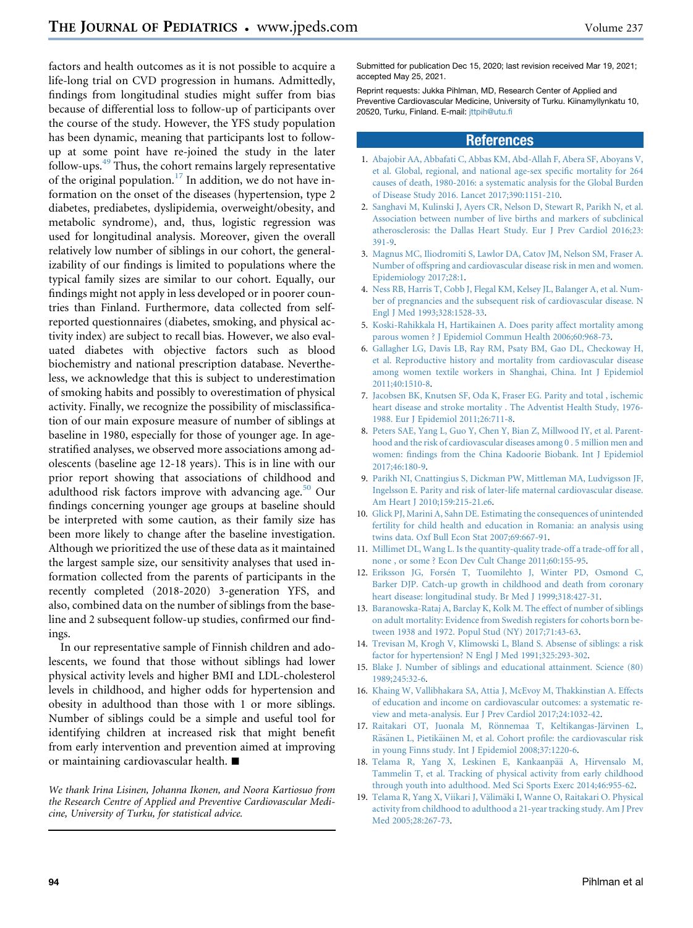factors and health outcomes as it is not possible to acquire a life-long trial on CVD progression in humans. Admittedly, findings from longitudinal studies might suffer from bias because of differential loss to follow-up of participants over the course of the study. However, the YFS study population has been dynamic, meaning that participants lost to followup at some point have re-joined the study in the later follow-ups.[49](#page-8-26) Thus, the cohort remains largely representative of the original population.<sup>[17](#page-7-16)</sup> In addition, we do not have information on the onset of the diseases (hypertension, type 2 diabetes, prediabetes, dyslipidemia, overweight/obesity, and metabolic syndrome), and, thus, logistic regression was used for longitudinal analysis. Moreover, given the overall relatively low number of siblings in our cohort, the generalizability of our findings is limited to populations where the typical family sizes are similar to our cohort. Equally, our findings might not apply in less developed or in poorer countries than Finland. Furthermore, data collected from selfreported questionnaires (diabetes, smoking, and physical activity index) are subject to recall bias. However, we also evaluated diabetes with objective factors such as blood biochemistry and national prescription database. Nevertheless, we acknowledge that this is subject to underestimation of smoking habits and possibly to overestimation of physical activity. Finally, we recognize the possibility of misclassification of our main exposure measure of number of siblings at baseline in 1980, especially for those of younger age. In agestratified analyses, we observed more associations among adolescents (baseline age 12-18 years). This is in line with our prior report showing that associations of childhood and adulthood risk factors improve with advancing age. $50$  Our findings concerning younger age groups at baseline should be interpreted with some caution, as their family size has been more likely to change after the baseline investigation. Although we prioritized the use of these data as it maintained the largest sample size, our sensitivity analyses that used information collected from the parents of participants in the recently completed (2018-2020) 3-generation YFS, and also, combined data on the number of siblings from the baseline and 2 subsequent follow-up studies, confirmed our findings.

In our representative sample of Finnish children and adolescents, we found that those without siblings had lower physical activity levels and higher BMI and LDL-cholesterol levels in childhood, and higher odds for hypertension and obesity in adulthood than those with 1 or more siblings. Number of siblings could be a simple and useful tool for identifying children at increased risk that might benefit from early intervention and prevention aimed at improving or maintaining cardiovascular health.  $\blacksquare$ 

We thank Irina Lisinen, Johanna Ikonen, and Noora Kartiosuo from the Research Centre of Applied and Preventive Cardiovascular Medicine, University of Turku, for statistical advice.

Submitted for publication Dec 15, 2020; last revision received Mar 19, 2021; accepted May 25, 2021.

Reprint requests: Jukka Pihlman, MD, Research Center of Applied and Preventive Cardiovascular Medicine, University of Turku. Kiinamyllynkatu 10, 20520, Turku, Finland. E-mail: [jttpih@utu.fi](mailto:jttpih@utu.fi)

### References

- <span id="page-7-0"></span>1. [Abajobir AA, Abbafati C, Abbas KM, Abd-Allah F, Abera SF, Aboyans V,](http://refhub.elsevier.com/S0022-3476(21)00509-6/sref1) [et al. Global, regional, and national age-sex specific mortality for 264](http://refhub.elsevier.com/S0022-3476(21)00509-6/sref1) [causes of death, 1980-2016: a systematic analysis for the Global Burden](http://refhub.elsevier.com/S0022-3476(21)00509-6/sref1) [of Disease Study 2016. Lancet 2017;390:1151-210](http://refhub.elsevier.com/S0022-3476(21)00509-6/sref1).
- <span id="page-7-1"></span>2. [Sanghavi M, Kulinski J, Ayers CR, Nelson D, Stewart R, Parikh N, et al.](http://refhub.elsevier.com/S0022-3476(21)00509-6/sref2) [Association between number of live births and markers of subclinical](http://refhub.elsevier.com/S0022-3476(21)00509-6/sref2) [atherosclerosis: the Dallas Heart Study. Eur J Prev Cardiol 2016;23:](http://refhub.elsevier.com/S0022-3476(21)00509-6/sref2) [391-9.](http://refhub.elsevier.com/S0022-3476(21)00509-6/sref2)
- <span id="page-7-2"></span>3. [Magnus MC, Iliodromiti S, Lawlor DA, Catov JM, Nelson SM, Fraser A.](http://refhub.elsevier.com/S0022-3476(21)00509-6/sref3) [Number of offspring and cardiovascular disease risk in men and women.](http://refhub.elsevier.com/S0022-3476(21)00509-6/sref3) [Epidemiology 2017;28:1.](http://refhub.elsevier.com/S0022-3476(21)00509-6/sref3)
- <span id="page-7-3"></span>4. [Ness RB, Harris T, Cobb J, Flegal KM, Kelsey JL, Balanger A, et al. Num](http://refhub.elsevier.com/S0022-3476(21)00509-6/sref4)[ber of pregnancies and the subsequent risk of cardiovascular disease. N](http://refhub.elsevier.com/S0022-3476(21)00509-6/sref4) [Engl J Med 1993;328:1528-33](http://refhub.elsevier.com/S0022-3476(21)00509-6/sref4).
- <span id="page-7-4"></span>5. [Koski-Rahikkala H, Hartikainen A. Does parity affect mortality among](http://refhub.elsevier.com/S0022-3476(21)00509-6/sref5) [parous women ? J Epidemiol Commun Health 2006;60:968-73](http://refhub.elsevier.com/S0022-3476(21)00509-6/sref5).
- <span id="page-7-5"></span>6. [Gallagher LG, Davis LB, Ray RM, Psaty BM, Gao DL, Checkoway H,](http://refhub.elsevier.com/S0022-3476(21)00509-6/sref6) [et al. Reproductive history and mortality from cardiovascular disease](http://refhub.elsevier.com/S0022-3476(21)00509-6/sref6) [among women textile workers in Shanghai, China. Int J Epidemiol](http://refhub.elsevier.com/S0022-3476(21)00509-6/sref6) [2011;40:1510-8](http://refhub.elsevier.com/S0022-3476(21)00509-6/sref6).
- <span id="page-7-6"></span>7. [Jacobsen BK, Knutsen SF, Oda K, Fraser EG. Parity and total , ischemic](http://refhub.elsevier.com/S0022-3476(21)00509-6/sref7) [heart disease and stroke mortality . The Adventist Health Study, 1976-](http://refhub.elsevier.com/S0022-3476(21)00509-6/sref7) [1988. Eur J Epidemiol 2011;26:711-8.](http://refhub.elsevier.com/S0022-3476(21)00509-6/sref7)
- <span id="page-7-7"></span>8. [Peters SAE, Yang L, Guo Y, Chen Y, Bian Z, Millwood IY, et al. Parent](http://refhub.elsevier.com/S0022-3476(21)00509-6/sref8)[hood and the risk of cardiovascular diseases among 0 . 5 million men and](http://refhub.elsevier.com/S0022-3476(21)00509-6/sref8) [women: findings from the China Kadoorie Biobank. Int J Epidemiol](http://refhub.elsevier.com/S0022-3476(21)00509-6/sref8) [2017;46:180-9](http://refhub.elsevier.com/S0022-3476(21)00509-6/sref8).
- <span id="page-7-8"></span>9. [Parikh NI, Cnattingius S, Dickman PW, Mittleman MA, Ludvigsson JF,](http://refhub.elsevier.com/S0022-3476(21)00509-6/sref9) [Ingelsson E. Parity and risk of later-life maternal cardiovascular disease.](http://refhub.elsevier.com/S0022-3476(21)00509-6/sref9) [Am Heart J 2010;159:215-21.e6](http://refhub.elsevier.com/S0022-3476(21)00509-6/sref9).
- <span id="page-7-9"></span>10. [Glick PJ, Marini A, Sahn DE. Estimating the consequences of unintended](http://refhub.elsevier.com/S0022-3476(21)00509-6/sref10) [fertility for child health and education in Romania: an analysis using](http://refhub.elsevier.com/S0022-3476(21)00509-6/sref10) [twins data. Oxf Bull Econ Stat 2007;69:667-91](http://refhub.elsevier.com/S0022-3476(21)00509-6/sref10).
- <span id="page-7-10"></span>11. [Millimet DL, Wang L. Is the quantity-quality trade-off a trade-off for all ,](http://refhub.elsevier.com/S0022-3476(21)00509-6/sref11) [none , or some ? Econ Dev Cult Change 2011;60:155-95.](http://refhub.elsevier.com/S0022-3476(21)00509-6/sref11)
- <span id="page-7-11"></span>12. [Eriksson JG, Fors](http://refhub.elsevier.com/S0022-3476(21)00509-6/sref12)én T, Tuomilehto J, Winter PD, Osmond C, [Barker DJP. Catch-up growth in childhood and death from coronary](http://refhub.elsevier.com/S0022-3476(21)00509-6/sref12) [heart disease: longitudinal study. Br Med J 1999;318:427-31](http://refhub.elsevier.com/S0022-3476(21)00509-6/sref12).
- <span id="page-7-12"></span>13. [Baranowska-Rataj A, Barclay K, Kolk M. The effect of number of siblings](http://refhub.elsevier.com/S0022-3476(21)00509-6/sref13) [on adult mortality: Evidence from Swedish registers for cohorts born be](http://refhub.elsevier.com/S0022-3476(21)00509-6/sref13)[tween 1938 and 1972. Popul Stud \(NY\) 2017;71:43-63](http://refhub.elsevier.com/S0022-3476(21)00509-6/sref13).
- <span id="page-7-13"></span>14. [Trevisan M, Krogh V, Klimowski L, Bland S. Absense of siblings: a risk](http://refhub.elsevier.com/S0022-3476(21)00509-6/sref14) [factor for hypertension? N Engl J Med 1991;325:293-302](http://refhub.elsevier.com/S0022-3476(21)00509-6/sref14).
- <span id="page-7-14"></span>15. [Blake J. Number of siblings and educational attainment. Science \(80\)](http://refhub.elsevier.com/S0022-3476(21)00509-6/sref15) [1989;245:32-6](http://refhub.elsevier.com/S0022-3476(21)00509-6/sref15).
- <span id="page-7-15"></span>16. [Khaing W, Vallibhakara SA, Attia J, McEvoy M, Thakkinstian A. Effects](http://refhub.elsevier.com/S0022-3476(21)00509-6/sref16) [of education and income on cardiovascular outcomes: a systematic re](http://refhub.elsevier.com/S0022-3476(21)00509-6/sref16)[view and meta-analysis. Eur J Prev Cardiol 2017;24:1032-42.](http://refhub.elsevier.com/S0022-3476(21)00509-6/sref16)
- <span id="page-7-16"></span>17. Raitakari OT, Juonala M, Rönnemaa T, Keltikangas-Jä[rvinen L,](http://refhub.elsevier.com/S0022-3476(21)00509-6/sref17) [R](http://refhub.elsevier.com/S0022-3476(21)00509-6/sref17)ä[s](http://refhub.elsevier.com/S0022-3476(21)00509-6/sref17)änen L, Pietikä[inen M, et al. Cohort profile: the cardiovascular risk](http://refhub.elsevier.com/S0022-3476(21)00509-6/sref17) [in young Finns study. Int J Epidemiol 2008;37:1220-6](http://refhub.elsevier.com/S0022-3476(21)00509-6/sref17).
- <span id="page-7-17"></span>18. [Telama R, Yang X, Leskinen E, Kankaanp](http://refhub.elsevier.com/S0022-3476(21)00509-6/sref18)ää A, Hirvensalo M, [Tammelin T, et al. Tracking of physical activity from early childhood](http://refhub.elsevier.com/S0022-3476(21)00509-6/sref18) [through youth into adulthood. Med Sci Sports Exerc 2014;46:955-62.](http://refhub.elsevier.com/S0022-3476(21)00509-6/sref18)
- <span id="page-7-18"></span>19. [Telama R, Yang X, Viikari J, V](http://refhub.elsevier.com/S0022-3476(21)00509-6/sref19)älimäki I, Wanne O, Raitakari O. Physical [activity from childhood to adulthood a 21-year tracking study. Am J Prev](http://refhub.elsevier.com/S0022-3476(21)00509-6/sref19) [Med 2005;28:267-73.](http://refhub.elsevier.com/S0022-3476(21)00509-6/sref19)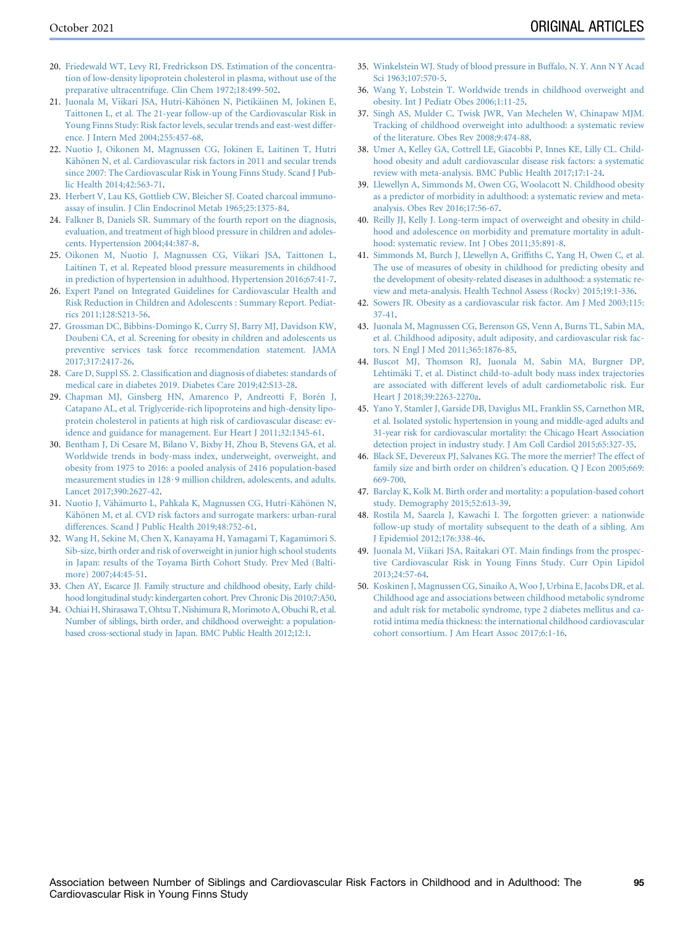- <span id="page-8-0"></span>20. [Friedewald WT, Levy RI, Fredrickson DS. Estimation of the concentra](http://refhub.elsevier.com/S0022-3476(21)00509-6/sref20)[tion of low-density lipoprotein cholesterol in plasma, without use of the](http://refhub.elsevier.com/S0022-3476(21)00509-6/sref20) [preparative ultracentrifuge. Clin Chem 1972;18:499-502.](http://refhub.elsevier.com/S0022-3476(21)00509-6/sref20)
- <span id="page-8-1"></span>21. [Juonala M, Viikari JSA, Hutri-K](http://refhub.elsevier.com/S0022-3476(21)00509-6/sref21)ähö[nen N, Pietik](http://refhub.elsevier.com/S0022-3476(21)00509-6/sref21)äinen M, Jokinen E, [Taittonen L, et al. The 21-year follow-up of the Cardiovascular Risk in](http://refhub.elsevier.com/S0022-3476(21)00509-6/sref21) [Young Finns Study: Risk factor levels, secular trends and east-west differ](http://refhub.elsevier.com/S0022-3476(21)00509-6/sref21)[ence. J Intern Med 2004;255:457-68.](http://refhub.elsevier.com/S0022-3476(21)00509-6/sref21)
- <span id="page-8-2"></span>22. [Nuotio J, Oikonen M, Magnussen CG, Jokinen E, Laitinen T, Hutri](http://refhub.elsevier.com/S0022-3476(21)00509-6/sref22) [K](http://refhub.elsevier.com/S0022-3476(21)00509-6/sref22)ähönen N, et al. Cardiovascular risk factors in 2011 and secular trends [since 2007: The Cardiovascular Risk in Young Finns Study. Scand J Pub](http://refhub.elsevier.com/S0022-3476(21)00509-6/sref22)[lic Health 2014;42:563-71](http://refhub.elsevier.com/S0022-3476(21)00509-6/sref22).
- <span id="page-8-3"></span>23. [Herbert V, Lau KS, Gottlieb CW, Bleicher SJ. Coated charcoal immuno](http://refhub.elsevier.com/S0022-3476(21)00509-6/sref23)[assay of insulin. J Clin Endocrinol Metab 1965;25:1375-84](http://refhub.elsevier.com/S0022-3476(21)00509-6/sref23).
- <span id="page-8-4"></span>24. [Falkner B, Daniels SR. Summary of the fourth report on the diagnosis,](http://refhub.elsevier.com/S0022-3476(21)00509-6/sref24) [evaluation, and treatment of high blood pressure in children and adoles](http://refhub.elsevier.com/S0022-3476(21)00509-6/sref24)[cents. Hypertension 2004;44:387-8](http://refhub.elsevier.com/S0022-3476(21)00509-6/sref24).
- <span id="page-8-5"></span>25. [Oikonen M, Nuotio J, Magnussen CG, Viikari JSA, Taittonen L,](http://refhub.elsevier.com/S0022-3476(21)00509-6/sref25) [Laitinen T, et al. Repeated blood pressure measurements in childhood](http://refhub.elsevier.com/S0022-3476(21)00509-6/sref25) [in prediction of hypertension in adulthood. Hypertension 2016;67:41-7](http://refhub.elsevier.com/S0022-3476(21)00509-6/sref25).
- <span id="page-8-6"></span>26. [Expert Panel on Integrated Guidelines for Cardiovascular Health and](http://refhub.elsevier.com/S0022-3476(21)00509-6/sref26) [Risk Reduction in Children and Adolescents : Summary Report. Pediat](http://refhub.elsevier.com/S0022-3476(21)00509-6/sref26)[rics 2011;128:S213-56.](http://refhub.elsevier.com/S0022-3476(21)00509-6/sref26)
- <span id="page-8-7"></span>27. [Grossman DC, Bibbins-Domingo K, Curry SJ, Barry MJ, Davidson KW,](http://refhub.elsevier.com/S0022-3476(21)00509-6/sref27) [Doubeni CA, et al. Screening for obesity in children and adolescents us](http://refhub.elsevier.com/S0022-3476(21)00509-6/sref27) [preventive services task force recommendation statement. JAMA](http://refhub.elsevier.com/S0022-3476(21)00509-6/sref27) [2017;317:2417-26](http://refhub.elsevier.com/S0022-3476(21)00509-6/sref27).
- <span id="page-8-8"></span>28. [Care D, Suppl SS. 2. Classification and diagnosis of diabetes: standards of](http://refhub.elsevier.com/S0022-3476(21)00509-6/sref28) [medical care in diabetes 2019. Diabetes Care 2019;42:S13-28](http://refhub.elsevier.com/S0022-3476(21)00509-6/sref28).
- <span id="page-8-9"></span>29. [Chapman MJ, Ginsberg HN, Amarenco P, Andreotti F, Bor](http://refhub.elsevier.com/S0022-3476(21)00509-6/sref29)én J, [Catapano AL, et al. Triglyceride-rich lipoproteins and high-density lipo](http://refhub.elsevier.com/S0022-3476(21)00509-6/sref29)[protein cholesterol in patients at high risk of cardiovascular disease: ev](http://refhub.elsevier.com/S0022-3476(21)00509-6/sref29)[idence and guidance for management. Eur Heart J 2011;32:1345-61.](http://refhub.elsevier.com/S0022-3476(21)00509-6/sref29)
- <span id="page-8-10"></span>30. [Bentham J, Di Cesare M, Bilano V, Bixby H, Zhou B, Stevens GA, et al.](http://refhub.elsevier.com/S0022-3476(21)00509-6/sref30) [Worldwide trends in body-mass index, underweight, overweight, and](http://refhub.elsevier.com/S0022-3476(21)00509-6/sref30) [obesity from 1975 to 2016: a pooled analysis of 2416 population-based](http://refhub.elsevier.com/S0022-3476(21)00509-6/sref30) measurement studies in  $128.9$  million children, adolescents, and adults. [Lancet 2017;390:2627-42.](http://refhub.elsevier.com/S0022-3476(21)00509-6/sref30)
- <span id="page-8-11"></span>31. [Nuotio J, V](http://refhub.elsevier.com/S0022-3476(21)00509-6/sref31)ä[h](http://refhub.elsevier.com/S0022-3476(21)00509-6/sref31)ä[murto L, Pahkala K, Magnussen CG, Hutri-K](http://refhub.elsevier.com/S0022-3476(21)00509-6/sref31)ähönen N, [K](http://refhub.elsevier.com/S0022-3476(21)00509-6/sref31)ähönen M, et al. CVD risk factors and surrogate markers: urban-rural [differences. Scand J Public Health 2019;48:752-61.](http://refhub.elsevier.com/S0022-3476(21)00509-6/sref31)
- <span id="page-8-12"></span>32. [Wang H, Sekine M, Chen X, Kanayama H, Yamagami T, Kagamimori S.](http://refhub.elsevier.com/S0022-3476(21)00509-6/sref32) [Sib-size, birth order and risk of overweight in junior high school students](http://refhub.elsevier.com/S0022-3476(21)00509-6/sref32) [in Japan: results of the Toyama Birth Cohort Study. Prev Med \(Balti](http://refhub.elsevier.com/S0022-3476(21)00509-6/sref32)[more\) 2007;44:45-51](http://refhub.elsevier.com/S0022-3476(21)00509-6/sref32).
- <span id="page-8-19"></span>33. [Chen AY, Escarce JJ. Family structure](http://refhub.elsevier.com/S0022-3476(21)00509-6/sref33) and childhood obesity, Early child[hood longitudinal study: kindergarten](http://refhub.elsevier.com/S0022-3476(21)00509-6/sref33) cohort. Prev Chronic Dis 2010;7:A50.
- 34. [Ochiai H, Shirasawa T, Ohtsu T, Nishimura R, Morimoto A, Obuchi R, et al.](http://refhub.elsevier.com/S0022-3476(21)00509-6/sref34) [Number of siblings, birth order, and childhood overweight: a population](http://refhub.elsevier.com/S0022-3476(21)00509-6/sref34)[based cross-sectional study in Japan. BMC Public Health 2012;12:1.](http://refhub.elsevier.com/S0022-3476(21)00509-6/sref34)
- <span id="page-8-13"></span>35. [Winkelstein WJ. Study of blood pressure in Buffalo, N. Y. Ann N Y Acad](http://refhub.elsevier.com/S0022-3476(21)00509-6/sref35) [Sci 1963;107:570-5](http://refhub.elsevier.com/S0022-3476(21)00509-6/sref35).
- <span id="page-8-14"></span>36. [Wang Y, Lobstein T. Worldwide trends in childhood overweight and](http://refhub.elsevier.com/S0022-3476(21)00509-6/sref36) [obesity. Int J Pediatr Obes 2006;1:11-25.](http://refhub.elsevier.com/S0022-3476(21)00509-6/sref36)
- <span id="page-8-15"></span>37. [Singh AS, Mulder C, Twisk JWR, Van Mechelen W, Chinapaw MJM.](http://refhub.elsevier.com/S0022-3476(21)00509-6/sref37) [Tracking of childhood overweight into adulthood: a systematic review](http://refhub.elsevier.com/S0022-3476(21)00509-6/sref37) [of the literature. Obes Rev 2008;9:474-88.](http://refhub.elsevier.com/S0022-3476(21)00509-6/sref37)
- <span id="page-8-16"></span>38. [Umer A, Kelley GA, Cottrell LE, Giacobbi P, Innes KE, Lilly CL. Child](http://refhub.elsevier.com/S0022-3476(21)00509-6/sref38)[hood obesity and adult cardiovascular disease risk factors: a systematic](http://refhub.elsevier.com/S0022-3476(21)00509-6/sref38) [review with meta-analysis. BMC Public Health 2017;17:1-24.](http://refhub.elsevier.com/S0022-3476(21)00509-6/sref38)
- 39. [Llewellyn A, Simmonds M, Owen CG, Woolacott N. Childhood obesity](http://refhub.elsevier.com/S0022-3476(21)00509-6/sref39) [as a predictor of morbidity in adulthood: a systematic review and meta](http://refhub.elsevier.com/S0022-3476(21)00509-6/sref39)[analysis. Obes Rev 2016;17:56-67](http://refhub.elsevier.com/S0022-3476(21)00509-6/sref39).
- 40. [Reilly JJ, Kelly J. Long-term impact of overweight and obesity in child](http://refhub.elsevier.com/S0022-3476(21)00509-6/sref40)[hood and adolescence on morbidity and premature mortality in adult](http://refhub.elsevier.com/S0022-3476(21)00509-6/sref40)[hood: systematic review. Int J Obes 2011;35:891-8.](http://refhub.elsevier.com/S0022-3476(21)00509-6/sref40)
- <span id="page-8-17"></span>41. [Simmonds M, Burch J, Llewellyn A, Griffiths C, Yang H, Owen C, et al.](http://refhub.elsevier.com/S0022-3476(21)00509-6/sref41) [The use of measures of obesity in childhood for predicting obesity and](http://refhub.elsevier.com/S0022-3476(21)00509-6/sref41) [the development of obesity-related diseases in adulthood: a systematic re](http://refhub.elsevier.com/S0022-3476(21)00509-6/sref41)[view and meta-analysis. Health Technol Assess \(Rockv\) 2015;19:1-336.](http://refhub.elsevier.com/S0022-3476(21)00509-6/sref41)
- <span id="page-8-18"></span>42. [Sowers JR. Obesity as a cardiovascular risk factor. Am J Med 2003;115:](http://refhub.elsevier.com/S0022-3476(21)00509-6/sref42) [37-41](http://refhub.elsevier.com/S0022-3476(21)00509-6/sref42).
- <span id="page-8-20"></span>43. [Juonala M, Magnussen CG, Berenson GS, Venn A, Burns TL, Sabin MA,](http://refhub.elsevier.com/S0022-3476(21)00509-6/sref43) [et al. Childhood adiposity, adult adiposity, and cardiovascular risk fac](http://refhub.elsevier.com/S0022-3476(21)00509-6/sref43)[tors. N Engl J Med 2011;365:1876-85](http://refhub.elsevier.com/S0022-3476(21)00509-6/sref43).
- <span id="page-8-21"></span>44. [Buscot MJ, Thomson RJ, Juonala M, Sabin MA, Burgner DP,](http://refhub.elsevier.com/S0022-3476(21)00509-6/sref44) [Lehtim](http://refhub.elsevier.com/S0022-3476(21)00509-6/sref44)ä[ki T, et al. Distinct child-to-adult body mass index trajectories](http://refhub.elsevier.com/S0022-3476(21)00509-6/sref44) [are associated with different levels of adult cardiometabolic risk. Eur](http://refhub.elsevier.com/S0022-3476(21)00509-6/sref44) [Heart J 2018;39:2263-2270a](http://refhub.elsevier.com/S0022-3476(21)00509-6/sref44).
- <span id="page-8-22"></span>45. [Yano Y, Stamler J, Garside DB, Daviglus ML, Franklin SS, Carnethon MR,](http://refhub.elsevier.com/S0022-3476(21)00509-6/sref45) [et al. Isolated systolic hypertension in young and middle-aged adults and](http://refhub.elsevier.com/S0022-3476(21)00509-6/sref45) [31-year risk for cardiovascular mortality: the Chicago Heart Association](http://refhub.elsevier.com/S0022-3476(21)00509-6/sref45) [detection project in industry study. J Am Coll Cardiol 2015;65:327-35](http://refhub.elsevier.com/S0022-3476(21)00509-6/sref45).
- <span id="page-8-23"></span>46. [Black SE, Devereux PJ, Salvanes KG. The more the merrier? The effect of](http://refhub.elsevier.com/S0022-3476(21)00509-6/sref46) [family size and birth order on children's education. Q J Econ 2005;669:](http://refhub.elsevier.com/S0022-3476(21)00509-6/sref46) [669-700.](http://refhub.elsevier.com/S0022-3476(21)00509-6/sref46)
- <span id="page-8-24"></span>47. [Barclay K, Kolk M. Birth order and mortality: a population-based cohort](http://refhub.elsevier.com/S0022-3476(21)00509-6/sref47) [study. Demography 2015;52:613-39](http://refhub.elsevier.com/S0022-3476(21)00509-6/sref47).
- <span id="page-8-25"></span>48. [Rostila M, Saarela J, Kawachi I. The forgotten griever: a nationwide](http://refhub.elsevier.com/S0022-3476(21)00509-6/sref48) [follow-up study of mortality subsequent to the death of a sibling. Am](http://refhub.elsevier.com/S0022-3476(21)00509-6/sref48) [J Epidemiol 2012;176:338-46.](http://refhub.elsevier.com/S0022-3476(21)00509-6/sref48)
- <span id="page-8-26"></span>49. [Juonala M, Viikari JSA, Raitakari OT. Main findings from the prospec](http://refhub.elsevier.com/S0022-3476(21)00509-6/sref49)[tive Cardiovascular Risk in Young Finns Study. Curr Opin Lipidol](http://refhub.elsevier.com/S0022-3476(21)00509-6/sref49) [2013;24:57-64.](http://refhub.elsevier.com/S0022-3476(21)00509-6/sref49)
- <span id="page-8-27"></span>50. [Koskinen J, Magnussen CG, Sinaiko A, Woo J, Urbina E, Jacobs DR, et al.](http://refhub.elsevier.com/S0022-3476(21)00509-6/sref50) [Childhood age and associations between childhood metabolic syndrome](http://refhub.elsevier.com/S0022-3476(21)00509-6/sref50) [and adult risk for metabolic syndrome, type 2 diabetes mellitus and ca](http://refhub.elsevier.com/S0022-3476(21)00509-6/sref50)[rotid intima media thickness: the international childhood cardiovascular](http://refhub.elsevier.com/S0022-3476(21)00509-6/sref50) [cohort consortium. J Am Heart Assoc 2017;6:1-16.](http://refhub.elsevier.com/S0022-3476(21)00509-6/sref50)